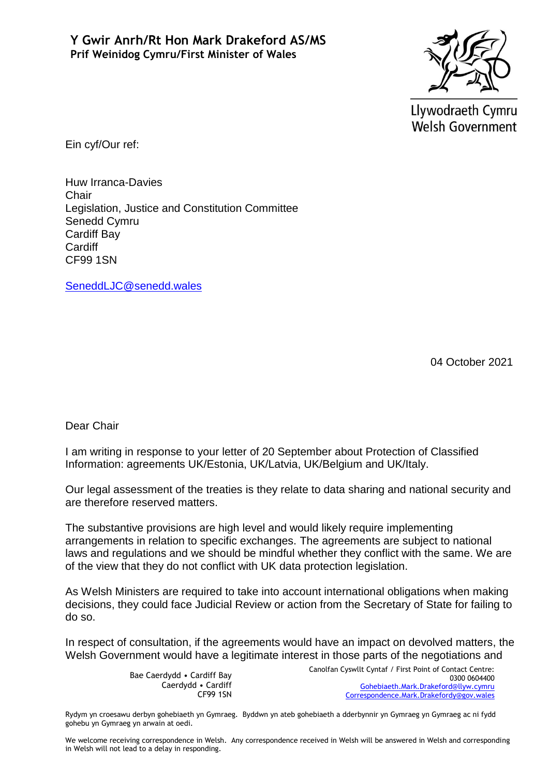

Llywodraeth Cymru Welsh Government

Ein cyf/Our ref:

Huw Irranca-Davies Chair Legislation, Justice and Constitution Committee Senedd Cymru Cardiff Bay **Cardiff** CF99 1SN

[SeneddLJC@senedd.wales](mailto:SeneddLJC@senedd.wales)

04 October 2021

Dear Chair

I am writing in response to your letter of 20 September about Protection of Classified Information: agreements UK/Estonia, UK/Latvia, UK/Belgium and UK/Italy.

Our legal assessment of the treaties is they relate to data sharing and national security and are therefore reserved matters.

The substantive provisions are high level and would likely require implementing arrangements in relation to specific exchanges. The agreements are subject to national laws and regulations and we should be mindful whether they conflict with the same. We are of the view that they do not conflict with UK data protection legislation.

As Welsh Ministers are required to take into account international obligations when making decisions, they could face Judicial Review or action from the Secretary of State for failing to do so.

In respect of consultation, if the agreements would have an impact on devolved matters, the Welsh Government would have a legitimate interest in those parts of the negotiations and

> Bae Caerdydd • Cardiff Bay Caerdydd • Cardiff CF99 1SN

Canolfan Cyswllt Cyntaf / First Point of Contact Centre: 0300 0604400 [Gohebiaeth.Mark.Drakeford@llyw.cymru](mailto:Gohebiaeth.Mark.Drakeford@llyw.cymru) [Correspondence.Mark.Drakefordy@gov.wales](mailto:Correspondence.Mark.Drakefordy@gov.wales)

Rydym yn croesawu derbyn gohebiaeth yn Gymraeg. Byddwn yn ateb gohebiaeth a dderbynnir yn Gymraeg yn Gymraeg ac ni fydd gohebu yn Gymraeg yn arwain at oedi.

We welcome receiving correspondence in Welsh. Any correspondence received in Welsh will be answered in Welsh and corresponding in Welsh will not lead to a delay in responding.